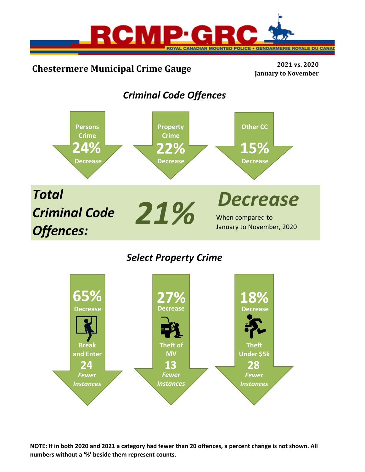

# **Chestermere Municipal Crime Gauge <sup>2021</sup> vs. <sup>2020</sup>**

**January to November**

## *Criminal Code Offences*



## *Select Property Crime*



NOTE: If in both 2020 and 2021 a category had fewer than 20 offences, a percent change is not shown. All **numbers without a '%' beside them represent counts.**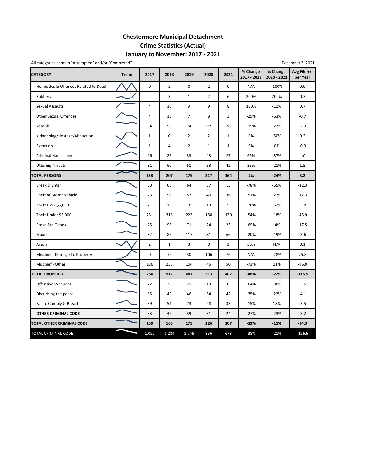## **January to November: 2017 ‐ 2021 Chestermere Municipal Detachment Crime Statistics (Actual)**

| All categories contain "Attempted" and/or "Completed" |              |                |                |                |                |              |                         |                         | December 3, 2021           |
|-------------------------------------------------------|--------------|----------------|----------------|----------------|----------------|--------------|-------------------------|-------------------------|----------------------------|
| <b>CATEGORY</b>                                       | <b>Trend</b> | 2017           | 2018           | 2019           | 2020           | 2021         | % Change<br>2017 - 2021 | % Change<br>2020 - 2021 | Avg File $+/-$<br>per Year |
| Homicides & Offences Related to Death                 |              | $\pmb{0}$      | $\overline{2}$ | $\pmb{0}$      | $\overline{2}$ | 0            | N/A                     | $-100%$                 | 0.0                        |
| Robbery                                               |              | $\overline{2}$ | 3              | $\mathbf{1}$   | $\overline{2}$ | 6            | 200%                    | 200%                    | 0.7                        |
| Sexual Assaults                                       |              | $\overline{4}$ | 10             | 9              | 9              | 8            | 100%                    | $-11%$                  | 0.7                        |
| <b>Other Sexual Offences</b>                          |              | $\overline{4}$ | 13             | $\overline{7}$ | 8              | 3            | $-25%$                  | $-63%$                  | $-0.7$                     |
| Assault                                               |              | 94             | 90             | 74             | 97             | 76           | $-19%$                  | $-22%$                  | $-2.9$                     |
| Kidnapping/Hostage/Abduction                          |              | $\mathbf{1}$   | $\mathbf 0$    | $\overline{2}$ | $\overline{2}$ | $\mathbf{1}$ | 0%                      | $-50%$                  | 0.2                        |
| Extortion                                             |              | $\mathbf 1$    | 4              | $\overline{2}$ | $\mathbf{1}$   | $\mathbf{1}$ | 0%                      | 0%                      | $-0.3$                     |
| <b>Criminal Harassment</b>                            |              | 16             | 25             | 33             | 43             | 27           | 69%                     | $-37%$                  | 4.0                        |
| <b>Uttering Threats</b>                               |              | 31             | 60             | 51             | 53             | 42           | 35%                     | $-21%$                  | 1.5                        |
| <b>TOTAL PERSONS</b>                                  |              | 153            | 207            | 179            | 217            | 164          | 7%                      | $-24%$                  | 3.2                        |
| Break & Enter                                         |              | 60             | 66             | 64             | 37             | 13           | $-78%$                  | $-65%$                  | $-12.3$                    |
| Theft of Motor Vehicle                                |              | 73             | 98             | 57             | 49             | 36           | $-51%$                  | $-27%$                  | $-12.3$                    |
| Theft Over \$5,000                                    |              | 21             | 19             | 18             | 13             | 5            | $-76%$                  | $-62%$                  | $-3.8$                     |
| Theft Under \$5,000                                   |              | 281            | 315            | 223            | 158            | 130          | $-54%$                  | $-18%$                  | $-45.9$                    |
| Possn Stn Goods                                       |              | 75             | 95             | 71             | 24             | 23           | $-69%$                  | $-4%$                   | $-17.5$                    |
| Fraud                                                 |              | 82             | 85             | 117            | 81             | 66           | $-20%$                  | $-19%$                  | $-3.6$                     |
| Arson                                                 |              | $\overline{2}$ | $\mathbf{1}$   | 3              | $\mathbf 0$    | 3            | 50%                     | N/A                     | 0.1                        |
| Mischief - Damage To Property                         |              | 0              | 0              | 30             | 106            | 76           | N/A                     | $-28%$                  | 25.8                       |
| Mischief - Other                                      |              | 186            | 233            | 104            | 45             | 50           | $-73%$                  | 11%                     | $-46.0$                    |
| <b>TOTAL PROPERTY</b>                                 |              | 780            | 912            | 687            | 513            | 402          | $-48%$                  | $-22%$                  | $-115.5$                   |
| Offensive Weapons                                     |              | 22             | 20             | 21             | 13             | 8            | $-64%$                  | $-38%$                  | $-3.5$                     |
| Disturbing the peace                                  |              | 65             | 49             | 46             | 54             | 42           | $-35%$                  | $-22%$                  | $-4.1$                     |
| Fail to Comply & Breaches                             |              | 39             | 51             | 73             | 28             | 33           | $-15%$                  | 18%                     | $-3.5$                     |
| OTHER CRIMINAL CODE                                   |              | 33             | 45             | 39             | 31             | 24           | $-27%$                  | $-23%$                  | $-3.2$                     |
| <b>TOTAL OTHER CRIMINAL CODE</b>                      |              | 159            | 165            | 179            | 126            | 107          | $-33%$                  | $-15%$                  | $-14.3$                    |
| <b>TOTAL CRIMINAL CODE</b>                            |              | 1,092          | 1,284          | 1,045          | 856            | 673          | $-38%$                  | $-21%$                  | $-126.6$                   |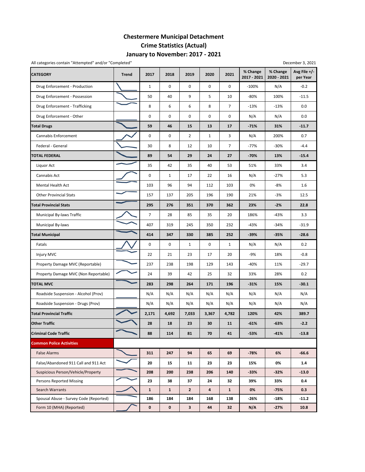## **January to November: 2017 ‐ 2021 Chestermere Municipal Detachment Crime Statistics (Actual)**

| All categories contain "Attempted" and/or "Completed" |              |                |              |                |              |                |                         |                         | December 3, 2021         |
|-------------------------------------------------------|--------------|----------------|--------------|----------------|--------------|----------------|-------------------------|-------------------------|--------------------------|
| <b>CATEGORY</b>                                       | <b>Trend</b> | 2017           | 2018         | 2019           | 2020         | 2021           | % Change<br>2017 - 2021 | % Change<br>2020 - 2021 | Avg File +/-<br>per Year |
| Drug Enforcement - Production                         |              | $\mathbf{1}$   | 0            | $\mathbf 0$    | 0            | 0              | $-100%$                 | N/A                     | $-0.2$                   |
| Drug Enforcement - Possession                         |              | 50             | 40           | 9              | 5            | 10             | $-80%$                  | 100%                    | $-11.5$                  |
| Drug Enforcement - Trafficking                        |              | 8              | 6            | 6              | 8            | $\overline{7}$ | $-13%$                  | $-13%$                  | 0.0                      |
| Drug Enforcement - Other                              |              | 0              | 0            | $\pmb{0}$      | 0            | 0              | N/A                     | N/A                     | 0.0                      |
| <b>Total Drugs</b>                                    |              | 59             | 46           | 15             | 13           | 17             | $-71%$                  | 31%                     | $-11.7$                  |
| Cannabis Enforcement                                  |              | 0              | 0            | $\overline{2}$ | $\mathbf{1}$ | 3              | N/A                     | 200%                    | 0.7                      |
| Federal - General                                     |              | 30             | 8            | 12             | 10           | $\overline{7}$ | $-77%$                  | -30%                    | $-4.4$                   |
| <b>TOTAL FEDERAL</b>                                  |              | 89             | 54           | 29             | 24           | 27             | $-70%$                  | 13%                     | $-15.4$                  |
| Liquor Act                                            |              | 35             | 42           | 35             | 40           | 53             | 51%                     | 33%                     | 3.4                      |
| Cannabis Act                                          |              | $\mathbf 0$    | $\mathbf 1$  | 17             | 22           | 16             | N/A                     | -27%                    | 5.3                      |
| Mental Health Act                                     |              | 103            | 96           | 94             | 112          | 103            | 0%                      | $-8%$                   | 1.6                      |
| <b>Other Provincial Stats</b>                         |              | 157            | 137          | 205            | 196          | 190            | 21%                     | $-3%$                   | 12.5                     |
| <b>Total Provincial Stats</b>                         |              | 295            | 276          | 351            | 370          | 362            | 23%                     | $-2%$                   | 22.8                     |
| Municipal By-laws Traffic                             |              | $\overline{7}$ | 28           | 85             | 35           | 20             | 186%                    | -43%                    | 3.3                      |
| Municipal By-laws                                     |              | 407            | 319          | 245            | 350          | 232            | $-43%$                  | -34%                    | $-31.9$                  |
| <b>Total Municipal</b>                                |              | 414            | 347          | 330            | 385          | 252            | $-39%$                  | $-35%$                  | $-28.6$                  |
| Fatals                                                |              | 0              | 0            | $\mathbf{1}$   | 0            | 1              | N/A                     | N/A                     | 0.2                      |
| Injury MVC                                            |              | 22             | 21           | 23             | 17           | 20             | -9%                     | 18%                     | $-0.8$                   |
| Property Damage MVC (Reportable)                      |              | 237            | 238          | 198            | 129          | 143            | $-40%$                  | 11%                     | $-29.7$                  |
| Property Damage MVC (Non Reportable)                  |              | 24             | 39           | 42             | 25           | 32             | 33%                     | 28%                     | 0.2                      |
| <b>TOTAL MVC</b>                                      |              | 283            | 298          | 264            | 171          | 196            | $-31%$                  | 15%                     | $-30.1$                  |
| Roadside Suspension - Alcohol (Prov)                  |              | N/A            | N/A          | N/A            | N/A          | N/A            | N/A                     | N/A                     | N/A                      |
| Roadside Suspension - Drugs (Prov)                    |              | N/A            | N/A          | N/A            | N/A          | N/A            | N/A                     | N/A                     | N/A                      |
| <b>Total Provincial Traffic</b>                       |              | 2,171          | 4,692        | 7,033          | 3,367        | 4,782          | 120%                    | 42%                     | 389.7                    |
| <b>Other Traffic</b>                                  |              | 28             | 18           | 23             | 30           | 11             | $-61%$                  | -63%                    | $-2.2$                   |
| <b>Criminal Code Traffic</b>                          |              | 88             | 114          | 81             | 70           | 41             | $-53%$                  | $-41%$                  | $-13.8$                  |
| <b>Common Police Activities</b>                       |              |                |              |                |              |                |                         |                         |                          |
| <b>False Alarms</b>                                   |              | 311            | 247          | 94             | 65           | 69             | $-78%$                  | 6%                      | $-66.6$                  |
| False/Abandoned 911 Call and 911 Act                  |              | 20             | 15           | 11             | 23           | 23             | 15%                     | 0%                      | 1.4                      |
| Suspicious Person/Vehicle/Property                    |              | 208            | 200          | 238            | 206          | 140            | $-33%$                  | $-32%$                  | $-13.0$                  |
| Persons Reported Missing                              |              | 23             | 38           | 37             | 24           | 32             | 39%                     | 33%                     | 0.4                      |
| Search Warrants                                       |              | $\mathbf{1}$   | $\mathbf{1}$ | $\overline{2}$ | 4            | $\mathbf{1}$   | 0%                      | $-75%$                  | 0.3                      |
| Spousal Abuse - Survey Code (Reported)                |              | 186            | 184          | 184            | 168          | 138            | $-26%$                  | -18%                    | $-11.2$                  |
| Form 10 (MHA) (Reported)                              |              | 0              | 0            | $\mathbf{3}$   | 44           | 32             | N/A                     | $-27%$                  | 10.8                     |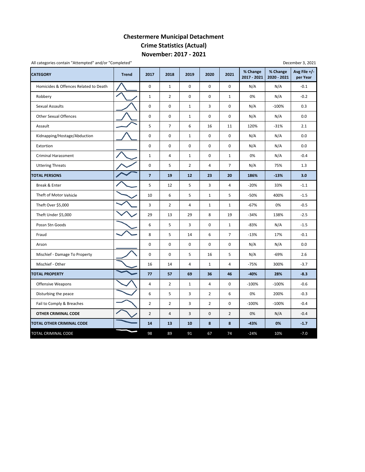## **November: 2017 ‐ 2021 Chestermere Municipal Detachment Crime Statistics (Actual)**

| <b>CATEGORY</b>                       | <b>Trend</b> | 2017                    | 2018           | 2019                    | 2020           | 2021           | % Change<br>2017 - 2021 | % Change<br>2020 - 2021 | Avg File +/-<br>per Year |
|---------------------------------------|--------------|-------------------------|----------------|-------------------------|----------------|----------------|-------------------------|-------------------------|--------------------------|
| Homicides & Offences Related to Death |              | $\mathbf 0$             | $\mathbf{1}$   | $\Omega$                | 0              | $\Omega$       | N/A                     | N/A                     | $-0.1$                   |
| Robbery                               |              | $\mathbf{1}$            | $\overline{2}$ | $\mathbf 0$             | 0              | $\mathbf{1}$   | 0%                      | N/A                     | $-0.2$                   |
| Sexual Assaults                       |              | $\mathsf{O}\xspace$     | 0              | $\mathbf{1}$            | 3              | 0              | N/A                     | $-100%$                 | 0.3                      |
| <b>Other Sexual Offences</b>          |              | 0                       | 0              | $\mathbf{1}$            | 0              | 0              | N/A                     | N/A                     | 0.0                      |
| Assault                               |              | 5                       | $\overline{7}$ | 6                       | 16             | 11             | 120%                    | $-31%$                  | 2.1                      |
| Kidnapping/Hostage/Abduction          |              | $\mathbf 0$             | $\pmb{0}$      | $\mathbf{1}$            | 0              | 0              | N/A                     | N/A                     | 0.0                      |
| Extortion                             |              | $\mathsf 0$             | $\mathbf 0$    | $\mathbf 0$             | 0              | $\mathbf 0$    | N/A                     | N/A                     | 0.0                      |
| <b>Criminal Harassment</b>            |              | $\mathbf{1}$            | 4              | $\mathbf{1}$            | 0              | $\mathbf{1}$   | 0%                      | N/A                     | $-0.4$                   |
| <b>Uttering Threats</b>               |              | $\pmb{0}$               | 5              | $\overline{2}$          | 4              | $\overline{7}$ | N/A                     | 75%                     | 1.3                      |
| <b>TOTAL PERSONS</b>                  |              | $\overline{\mathbf{z}}$ | 19             | 12                      | 23             | 20             | 186%                    | $-13%$                  | 3.0                      |
| Break & Enter                         |              | 5                       | 12             | 5                       | 3              | $\overline{4}$ | $-20%$                  | 33%                     | $-1.1$                   |
| Theft of Motor Vehicle                |              | 10                      | 6              | 5                       | $\mathbf{1}$   | 5              | $-50%$                  | 400%                    | $-1.5$                   |
| Theft Over \$5,000                    |              | 3                       | $\overline{2}$ | $\overline{4}$          | $\mathbf{1}$   | $\mathbf{1}$   | $-67%$                  | 0%                      | $-0.5$                   |
| Theft Under \$5,000                   |              | 29                      | 13             | 29                      | 8              | 19             | $-34%$                  | 138%                    | $-2.5$                   |
| Possn Stn Goods                       |              | 6                       | 5              | 3                       | 0              | $\mathbf{1}$   | -83%                    | N/A                     | $-1.5$                   |
| Fraud                                 |              | 8                       | 5              | 14                      | 6              | $\overline{7}$ | $-13%$                  | 17%                     | $-0.1$                   |
| Arson                                 |              | $\pmb{0}$               | $\pmb{0}$      | $\pmb{0}$               | 0              | 0              | N/A                     | N/A                     | 0.0                      |
| Mischief - Damage To Property         |              | $\mathbf 0$             | $\mathbf 0$    | 5                       | 16             | 5              | N/A                     | $-69%$                  | 2.6                      |
| Mischief - Other                      |              | 16                      | 14             | $\overline{\mathbf{4}}$ | $\mathbf{1}$   | $\overline{4}$ | $-75%$                  | 300%                    | $-3.7$                   |
| <b>TOTAL PROPERTY</b>                 |              | 77                      | 57             | 69                      | 36             | 46             | $-40%$                  | 28%                     | $-8.3$                   |
| <b>Offensive Weapons</b>              |              | 4                       | $\overline{2}$ | $\mathbf{1}$            | 4              | $\mathbf 0$    | $-100%$                 | $-100%$                 | $-0.6$                   |
| Disturbing the peace                  |              | 6                       | 5              | 3                       | $\overline{2}$ | 6              | 0%                      | 200%                    | $-0.3$                   |
| Fail to Comply & Breaches             |              | $\overline{2}$          | $\overline{2}$ | 3                       | $\overline{2}$ | 0              | $-100%$                 | $-100%$                 | $-0.4$                   |
| OTHER CRIMINAL CODE                   |              | $\overline{2}$          | $\sqrt{4}$     | 3                       | $\pmb{0}$      | $\overline{2}$ | 0%                      | N/A                     | $-0.4$                   |
| TOTAL OTHER CRIMINAL CODE             |              | 14                      | 13             | 10                      | 8              | 8              | $-43%$                  | 0%                      | $-1.7$                   |
| TOTAL CRIMINAL CODE                   |              | 98                      | 89             | 91                      | 67             | 74             | $-24%$                  | 10%                     | $-7.0$                   |

All categories contain "Attempted" and/or "Completed"

December 3, 2021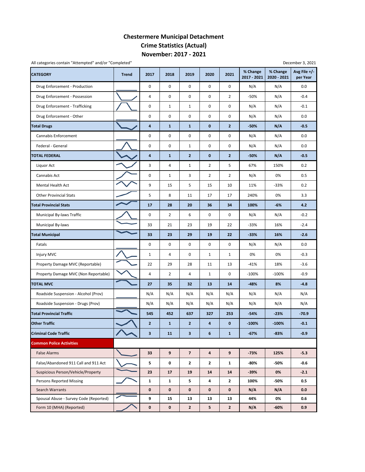## **November: 2017 ‐ 2021 Chestermere Municipal Detachment Crime Statistics (Actual)**

| All categories contain "Attempted" and/or "Completed" |              |                         |                |                         |                         |                | December 3, 2021        |                         |                          |  |  |  |  |
|-------------------------------------------------------|--------------|-------------------------|----------------|-------------------------|-------------------------|----------------|-------------------------|-------------------------|--------------------------|--|--|--|--|
| <b>CATEGORY</b>                                       | <b>Trend</b> | 2017                    | 2018           | 2019                    | 2020                    | 2021           | % Change<br>2017 - 2021 | % Change<br>2020 - 2021 | Avg File +/-<br>per Year |  |  |  |  |
| Drug Enforcement - Production                         |              | 0                       | $\mathbf 0$    | $\mathbf 0$             | $\mathbf 0$             | $\mathbf 0$    | N/A                     | N/A                     | 0.0                      |  |  |  |  |
| Drug Enforcement - Possession                         |              | 4                       | 0              | 0                       | 0                       | $\overline{2}$ | -50%                    | N/A                     | $-0.4$                   |  |  |  |  |
| Drug Enforcement - Trafficking                        |              | 0                       | 1              | $\mathbf{1}$            | 0                       | 0              | N/A                     | N/A                     | $-0.1$                   |  |  |  |  |
| Drug Enforcement - Other                              |              | 0                       | 0              | 0                       | 0                       | 0              | N/A                     | N/A                     | 0.0                      |  |  |  |  |
| <b>Total Drugs</b>                                    |              | 4                       | $\mathbf{1}$   | $\mathbf{1}$            | $\mathbf{0}$            | $\overline{2}$ | -50%                    | N/A                     | $-0.5$                   |  |  |  |  |
| Cannabis Enforcement                                  |              | 0                       | 0              | 0                       | 0                       | 0              | N/A                     | N/A                     | 0.0                      |  |  |  |  |
| Federal - General                                     |              | 0                       | 0              | $\mathbf{1}$            | 0                       | 0              | N/A                     | N/A                     | 0.0                      |  |  |  |  |
| <b>TOTAL FEDERAL</b>                                  |              | 4                       | $\mathbf{1}$   | $\overline{2}$          | $\mathbf{0}$            | $\overline{2}$ | -50%                    | N/A                     | $-0.5$                   |  |  |  |  |
| Liquor Act                                            |              | 3                       | 4              | $\mathbf{1}$            | $\overline{2}$          | 5              | 67%                     | 150%                    | 0.2                      |  |  |  |  |
| Cannabis Act                                          |              | $\pmb{0}$               | $\mathbf{1}$   | 3                       | $\overline{2}$          | $\overline{2}$ | N/A                     | 0%                      | 0.5                      |  |  |  |  |
| Mental Health Act                                     |              | 9                       | 15             | 5                       | 15                      | 10             | 11%                     | $-33%$                  | 0.2                      |  |  |  |  |
| <b>Other Provincial Stats</b>                         |              | 5                       | 8              | 11                      | 17                      | 17             | 240%                    | 0%                      | 3.3                      |  |  |  |  |
| <b>Total Provincial Stats</b>                         |              | 17                      | 28             | 20                      | 36                      | 34             | 100%                    | $-6%$                   | 4.2                      |  |  |  |  |
| Municipal By-laws Traffic                             |              | 0                       | 2              | 6                       | 0                       | 0              | N/A                     | N/A                     | $-0.2$                   |  |  |  |  |
| Municipal By-laws                                     |              | 33                      | 21             | 23                      | 19                      | 22             | $-33%$                  | 16%                     | $-2.4$                   |  |  |  |  |
| <b>Total Municipal</b>                                |              | 33                      | 23             | 29                      | 19                      | 22             | $-33%$                  | 16%                     | $-2.6$                   |  |  |  |  |
| Fatals                                                |              | 0                       | 0              | 0                       | $\mathbf 0$             | 0              | N/A                     | N/A                     | 0.0                      |  |  |  |  |
| Injury MVC                                            |              | $\mathbf{1}$            | 4              | 0                       | $\mathbf{1}$            | $\mathbf{1}$   | 0%                      | 0%                      | $-0.3$                   |  |  |  |  |
| Property Damage MVC (Reportable)                      |              | 22                      | 29             | 28                      | 11                      | 13             | $-41%$                  | 18%                     | $-3.6$                   |  |  |  |  |
| Property Damage MVC (Non Reportable)                  |              | $\sqrt{4}$              | $\overline{2}$ | 4                       | $\mathbf{1}$            | 0              | $-100%$                 | $-100%$                 | $-0.9$                   |  |  |  |  |
| <b>TOTAL MVC</b>                                      |              | 27                      | 35             | 32                      | 13                      | 14             | $-48%$                  | 8%                      | $-4.8$                   |  |  |  |  |
| Roadside Suspension - Alcohol (Prov)                  |              | N/A                     | N/A            | N/A                     | N/A                     | N/A            | N/A                     | N/A                     | N/A                      |  |  |  |  |
| Roadside Suspension - Drugs (Prov)                    |              | N/A                     | N/A            | N/A                     | N/A                     | N/A            | N/A                     | N/A                     | N/A                      |  |  |  |  |
| <b>Total Provincial Traffic</b>                       |              | 545                     | 452            | 637                     | 327                     | 253            | $-54%$                  | $-23%$                  | $-70.9$                  |  |  |  |  |
| <b>Other Traffic</b>                                  |              | $\overline{2}$          | $\mathbf{1}$   | $\overline{2}$          | 4                       | $\mathbf{0}$   | $-100%$                 | $-100%$                 | $-0.1$                   |  |  |  |  |
| <b>Criminal Code Traffic</b>                          |              | $\overline{\mathbf{3}}$ | 11             | $\overline{\mathbf{3}}$ | 6                       | $\mathbf{1}$   | $-67%$                  | $-83%$                  | $-0.9$                   |  |  |  |  |
| <b>Common Police Activities</b>                       |              |                         |                |                         |                         |                |                         |                         |                          |  |  |  |  |
| <b>False Alarms</b>                                   |              | 33                      | 9              | $\overline{\mathbf{z}}$ | $\overline{\mathbf{4}}$ | 9              | $-73%$                  | 125%                    | $-5.3$                   |  |  |  |  |
| False/Abandoned 911 Call and 911 Act                  |              | 5                       | 0              | 2                       | $\mathbf{2}$            | $\mathbf{1}$   | -80%                    | -50%                    | -0.6                     |  |  |  |  |
| Suspicious Person/Vehicle/Property                    |              | 23                      | 17             | 19                      | 14                      | 14             | $-39%$                  | 0%                      | $-2.1$                   |  |  |  |  |
| <b>Persons Reported Missing</b>                       |              | $\mathbf{1}$            | 1              | 5                       | 4                       | $\mathbf{2}$   | 100%                    | -50%                    | 0.5                      |  |  |  |  |
| Search Warrants                                       |              | $\mathbf 0$             | $\mathbf 0$    | 0                       | $\mathbf 0$             | $\mathbf 0$    | N/A                     | N/A                     | 0.0                      |  |  |  |  |
| Spousal Abuse - Survey Code (Reported)                |              | 9                       | 15             | 13                      | 13                      | 13             | 44%                     | 0%                      | 0.6                      |  |  |  |  |
| Form 10 (MHA) (Reported)                              |              | $\pmb{0}$               | $\pmb{0}$      | $\overline{2}$          | 5                       | $\mathbf{2}$   | N/A                     | $-60%$                  | 0.9                      |  |  |  |  |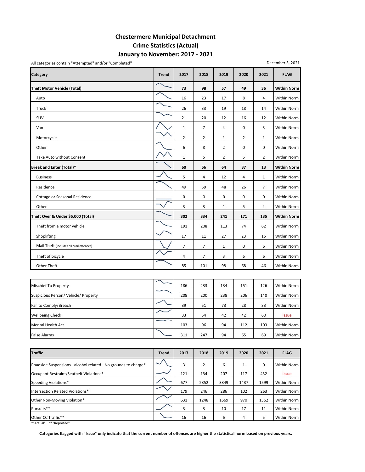### **January to November: 2017 ‐ 2021 Chestermere Municipal Detachment Crime Statistics (Actual)**

**Category Trend 2017 2018 2019 2020 2021 FLAG Theft Motor Vehicle (Total) 73 98 57 49 36 Within Norm** Auto 16 23 17 8 4 Within Norm Truck 26 26 33 19 18 14 Within Norm SUV 21 20 12 16 12 Within Norm Van 1 7 4 0 3 Within Norm Motorcycle 22121 Within Norm Other 68200 Mithin Norm 2011 12:00 Mithin Norm 2012 12:00 Mithin Norm 2012 12:00 Mithin Norm 2012 12:00 Mithin Norm Take Auto without Consent  $\begin{vmatrix} 1 & 1 & 2 & 3 \\ 2 & 1 & 5 & 2 \end{vmatrix}$  Within Norm **Break and Enter (Total)\* 60 66 64 37 13 Within Norm** Business 5 4 12 4 1 Within Norm Residence 49 59 48 26 7 Within Norm Cottage or Seasonal Residence **1996 Cottage or Seasonal Residence** 1000000 Within Norm Other 33154 Within Norm **Theft Over & Under \$5,000 (Total) 302 334 241 171 135 Within Norm** Theft from a motor vehicle 191 208 113 74 62 Within Norm Shoplifting 17 10 11 27 23 15 Within Norm Mail Theft (includes all Mail offences)  $\begin{array}{|c|c|c|c|c|c|}\n\hline\n\diagup\big| & \diagup\big| & \diagup\big| & \diagup\big| & \diagup\big| & \diagup\big| & \diagup\big| & \diagdown\big| & \diagdown\big| & \diagdown\big| & \diagdown\big| & \diagdown\big| & \diagdown\big| & \diagdown\big| & \diagdown\big| & \diagdown\big| & \diagdown\big| & \diagdown\big| & \diagdown\big| & \diagdown\big| & \diagdown\big| & \diagdown\big| & \diagdown$  Theft of bicycle 47366 Within Norm Other Theft 85 101 98 68 46 Within Norm

| <b>Mischief To Property</b>          | 186 | 233 | 134 | 151 | 126 | Within Norm  |
|--------------------------------------|-----|-----|-----|-----|-----|--------------|
| Suspicious Person/ Vehicle/ Property | 208 | 200 | 238 | 206 | 140 | Within Norm  |
| Fail to Comply/Breach                | 39  | 51  | 73  | 28  | 33  | Within Norm  |
| <b>Wellbeing Check</b>               | 33  | 54  | 42  | 42  | 60  | <b>Issue</b> |
| <b>Mental Health Act</b>             | 103 | 96  | 94  | 112 | 103 | Within Norm  |
| <b>False Alarms</b>                  | 311 | 247 | 94  | 65  | 69  | Within Norm  |

| <b>Traffic</b>                                                 | <b>Trend</b> | 2017 | 2018 | 2019 | 2020 | 2021 | <b>FLAG</b>  |
|----------------------------------------------------------------|--------------|------|------|------|------|------|--------------|
| Roadside Suspensions - alcohol related - No grounds to charge* |              | 3    | 2    | 6    |      | 0    | Within Norm  |
| Occupant Restraint/Seatbelt Violations*                        |              | 121  | 134  | 207  | 117  | 432  | <b>Issue</b> |
| Speeding Violations*                                           |              | 677  | 2352 | 3849 | 1437 | 1599 | Within Norm  |
| Intersection Related Violations*                               |              | 179  | 246  | 286  | 102  | 263  | Within Norm  |
| Other Non-Moving Violation*                                    |              | 631  | 1248 | 1669 | 970  | 1562 | Within Norm  |
| Pursuits**                                                     |              | 3    | 3    | 10   | 17   | 11   | Within Norm  |
| Other CC Traffic**                                             |              | 16   | 16   | 6    | 4    | 5    | Within Norm  |

\*"Actual" \*\*"Reported"

Categories flagged with "Issue" only indicate that the current number of offences are higher the statistical norm based on previous years.

#### All categories contain "Attempted" and/or "Completed"

December 3, 2021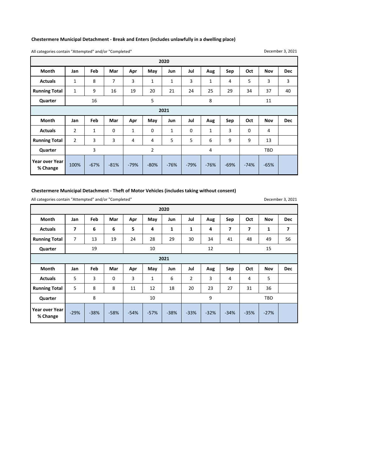#### **Chestermere Municipal Detachment ‐ Break and Enters (includes unlawfully in a dwelling place)**

All categories contain "Attempted" and/or "Completed"

December 3, 2021

| 2020                 |                |     |             |              |             |              |             |              |     |     |            |            |  |
|----------------------|----------------|-----|-------------|--------------|-------------|--------------|-------------|--------------|-----|-----|------------|------------|--|
| <b>Month</b>         | Jan            | Feb | Mar         | Apr          | May         | Jun          | Jul         | Aug          | Sep | Oct | <b>Nov</b> | <b>Dec</b> |  |
| <b>Actuals</b>       | $\mathbf{1}$   | 8   | 7           | 3            | $\mathbf 1$ | $\mathbf{1}$ | 3           | $\mathbf{1}$ | 4   | 5   | 3          | 3          |  |
| <b>Running Total</b> | $\mathbf{1}$   | 9   | 16          | 19           | 20          | 21           | 24          | 25           | 29  | 34  | 37         | 40         |  |
| Quarter              |                | 16  |             |              | 5           |              |             | 8            |     |     | 11         |            |  |
| 2021                 |                |     |             |              |             |              |             |              |     |     |            |            |  |
|                      |                |     |             |              |             |              |             |              |     |     |            |            |  |
| <b>Month</b>         | Jan            | Feb | Mar         | Apr          | May         | Jun          | Jul         | Aug          | Sep | Oct | Nov        | <b>Dec</b> |  |
| <b>Actuals</b>       | $\overline{2}$ | 1   | $\mathbf 0$ | $\mathbf{1}$ | 0           | 1            | $\mathbf 0$ | 1            | 3   | 0   | 4          |            |  |
| <b>Running Total</b> | $\overline{2}$ | 3   | 3           | 4            | 4           | 5            | 5           | 6            | 9   | 9   | 13         |            |  |
| Quarter              |                | 3   |             |              | 2           |              |             | 4            |     |     | <b>TBD</b> |            |  |

#### **Chestermere Municipal Detachment ‐ Theft of Motor Vehicles (includes taking without consent)**

All categories contain "Attempted" and/or "Completed"

**Month Jan Feb Mar Apr May Jun Jul Aug Sep Oct Nov Dec** Actuals | 7 | 6 | 6 | 5 | 4 | 1 | 1 | 4 | 7 | 7 | 1 | 7 **Running Total** 7 13 19 24 28 29 30 34 41 48 49 56 **Quarter Month Jan Feb Mar Apr May Jun Jul Aug Sep Oct Nov Dec** Actuals | 5 | 3 | 0 | 3 | 1 | 6 | 2 | 3 | 4 | 4 | 5 **Running Total** 5 8 8 8 11 12 18 20 23 27 31 36 **Quarter** ‐38% ‐33% ‐32% ‐34% ‐35% ‐27% **Year over Year % Change** ‐29% ‐38% ‐58% ‐54% ‐57% **2021** 8 | 10 | 9 | TBD **2020** 19 10 12 12 15

December 3, 2021